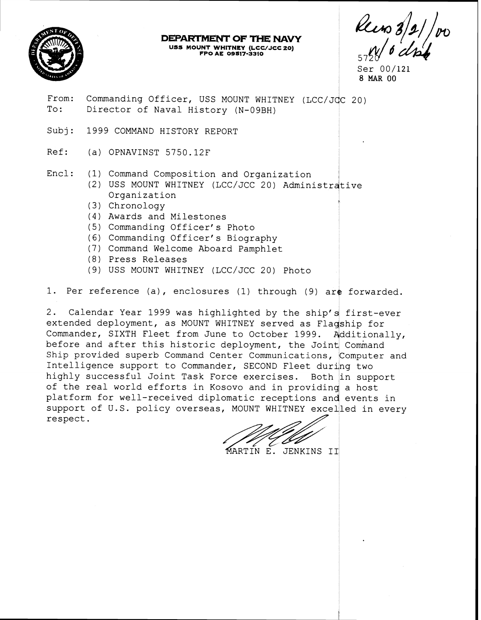

# **DEPARTMENT OF THE NAVY US3 MOUNT WHITNEY (LCVJCC 20) FPO AE 09817-33I0** <sup>57</sup>

Ser 00/121 <sup>i</sup>**8MA~00** 

- From: Commanding Officer, USS MOUNT WHITNEY (LCC/JCC 20)<br>To: Director of Naval History (N-09BH)
- Subj: 1999 COMMAND HISTORY REPORT
- Ref: (a) OPNAVINST 5750.12F
- Encl: (1) Command Composition and Organization
- 2) USS MOUNT WHITNEY (LCC/JCC 20) Administrative Organization |<br>|<br>!
	- Chronology
	- Awards and Milestones
	- (5) Commanding Officer's Photo
	- (6) Commanding Officer's Biography
	- Command Welcome Aboard Pamphlet
	- (8) Press Releases
	- USS MOUNT WHITNEY (LCC/JCC 20) Photo

1. Per reference (a), enclosures (1) through (9) are forwarded.

2. Calendar Year 1999 was highlighted by the ship's first-ever extended deployment, as MOUNT WHITNEY served as Flagship for Commander, SIXTH Fleet from June to October 1999. Additionally, before and after this historic deployment, the Joint Command Ship provided superb Command Center Communications, Computer and Intelligence support to Commander, SECOND Fleet during two highly successful Joint Task Force exercises. Both in support of the real world efforts in Kosovo and in providing a host platform for well-received diplomatic receptions and events in support of U.S. policy overseas, MOUNT WHITNEY excelled in every respect.

MARTIN E. JENKINS II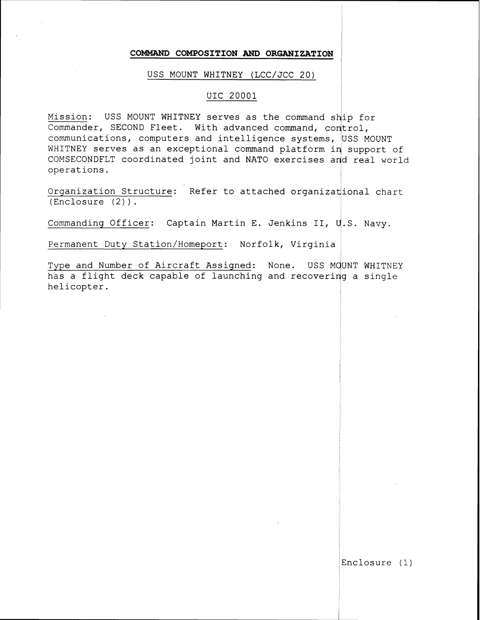#### **COMMAND COMPOSITION AND ORGANIZATION**

#### USS MOUNT WHITNEY (LCC/JCC 20)

#### UIC 20001

Mission: USS MOUNT WHITNEY serves as the command ship for Commander, SECOND Fleet. With advanced command, control, communications, computers and intelligence systems, USS MOUNT WHITNEY serves as an exceptional command platform in support of COMSECONDFLT coordinated joint and NATO exercises and real world operations.

Organization Structure: Refer to attached organizational chart (Enclosure (2) ) . I

Commanding Officer: Captain Martin E. Jenkins II, U.S. Navy.

Permanent Duty Station/Homeport: Norfolk, Virginia

Type and Number of Aircraft Assigned: None. USS MOUNT WHITNEY has a flight deck capable of launching and recovering a single helicopter.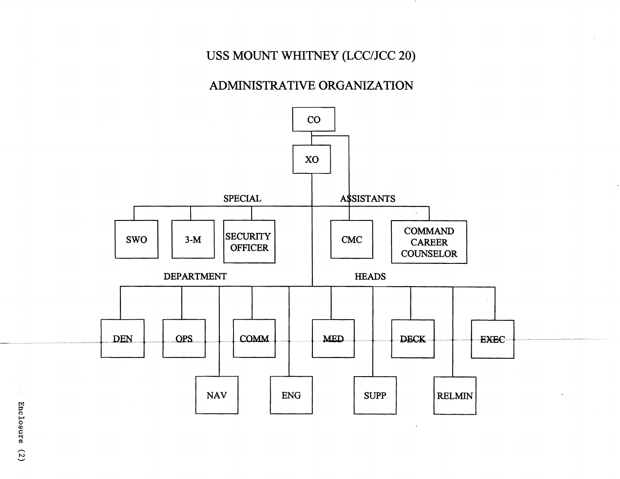# USS MOUNT WHITNEY (LCC/JCC 20)

### ADMINISTRATIVE ORGANIZATION

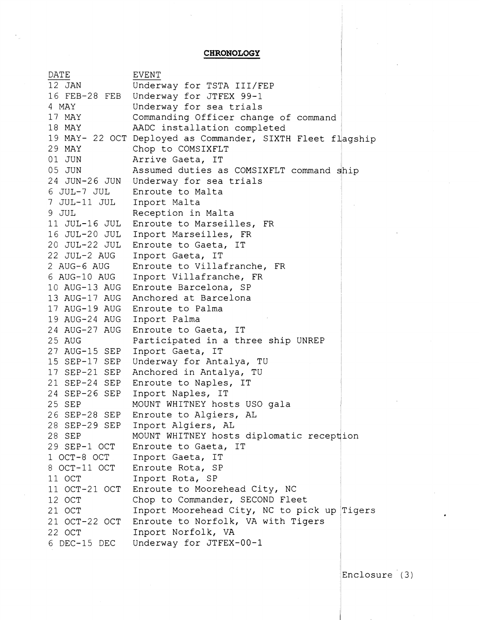**CHRONOLOGY** 

| DATE                       | <b>EVENT</b>                                               |
|----------------------------|------------------------------------------------------------|
| 12 JAN                     | Underway for TSTA III/FEP                                  |
|                            | 16 FEB-28 FEB Underway for JTFEX 99-1                      |
| 4 MAY                      | Underway for sea trials                                    |
| 17 MAY                     | Commanding Officer change of command                       |
| 18 MAY                     | AADC installation completed                                |
|                            | 19 MAY- 22 OCT Deployed as Commander, SIXTH Fleet flagship |
| 29 MAY                     | Chop to COMSIXFLT                                          |
| 01 JUN                     | Arrive Gaeta, IT                                           |
| 05 JUN                     | Assumed duties as COMSIXFLT command ship                   |
|                            | 24 JUN-26 JUN Underway for sea trials                      |
|                            | 6 JUL-7 JUL Enroute to Malta                               |
| 7 JUL-11 JUL Inport Malta  |                                                            |
| 9 JUL                      | Reception in Malta                                         |
|                            | 11 JUL-16 JUL Enroute to Marseilles, FR                    |
|                            | 16 JUL-20 JUL Inport Marseilles, FR                        |
|                            | 20 JUL-22 JUL Enroute to Gaeta, IT                         |
| 22 JUL-2 AUG               | Inport Gaeta, IT                                           |
| 2 AUG-6 AUG                | Enroute to Villafranche, FR                                |
|                            | 6 AUG-10 AUG Inport Villafranche, FR                       |
|                            | 10 AUG-13 AUG Enroute Barcelona, SP                        |
|                            | 13 AUG-17 AUG Anchored at Barcelona                        |
|                            | 17 AUG-19 AUG Enroute to Palma                             |
| 19 AUG-24 AUG Inport Palma |                                                            |
|                            | 24 AUG-27 AUG Enroute to Gaeta, IT                         |
| 25 AUG                     | Participated in a three ship UNREP                         |
|                            | 27 AUG-15 SEP Inport Gaeta, IT                             |
| 15 SEP-17 SEP              | Underway for Antalya, TU                                   |
| 17 SEP-21 SEP              | Anchored in Antalya, TU                                    |
|                            | 21 SEP-24 SEP Enroute to Naples, IT                        |
|                            | 24 SEP-26 SEP Inport Naples, IT                            |
| 25 SEP                     | MOUNT WHITNEY hosts USO gala                               |
| 26 SEP-28 SEP              | Enroute to Algiers, AL                                     |
| 28 SEP-29 SEP              | Inport Algiers, AL                                         |
| 28 SEP                     | MOUNT WHITNEY hosts diplomatic reception                   |
| 29 SEP-1 OCT               | Enroute to Gaeta, IT                                       |
| 1 OCT-8 OCT                | Inport Gaeta, IT                                           |
| 8 OCT-11 OCT               | Enroute Rota, SP                                           |
| 11 OCT                     | Inport Rota, SP                                            |
| 11 OCT-21 OCT              | Enroute to Moorehead City, NC                              |
| 12 OCT                     | Chop to Commander, SECOND Fleet                            |
| 21 OCT                     | Inport Moorehead City, NC to pick up Tigers                |
| 21 OCT-22 OCT              | Enroute to Norfolk, VA with Tigers                         |
| 22 OCT                     | Inport Norfolk, VA                                         |
| 6 DEC-15 DEC               | Underway for JTFEX-00-1                                    |

Enclosure<sup>(3)</sup>